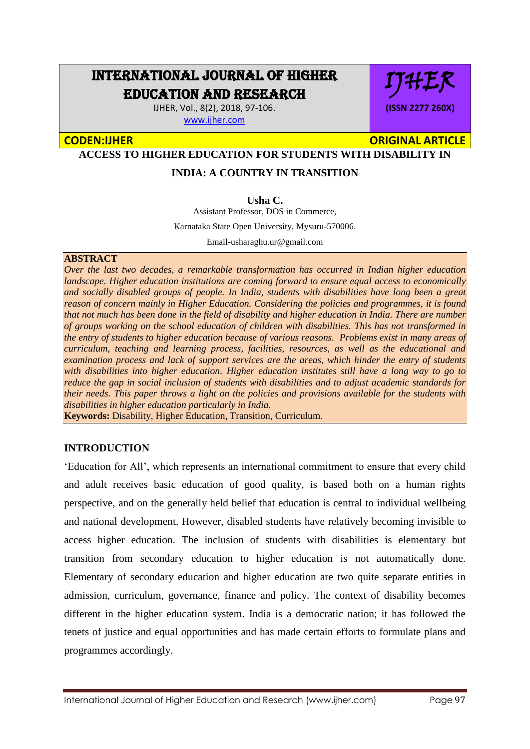# INTERNATIONAL JOURNAL OF HIGHER EDUCATION AND RESEARCH

IJHER, Vol., 8(2), 2018, 97-106. [www.ijher.com](http://www.ijher.com/)

# IJHER **(ISSN 2277 260X)**

**CODEN:IJHER ORIGINAL ARTICLE** 

**ACCESS TO HIGHER EDUCATION FOR STUDENTS WITH DISABILITY IN** 

### **INDIA: A COUNTRY IN TRANSITION**

**Usha C.**

Assistant Professor, DOS in Commerce,

Karnataka State Open University, Mysuru-570006.

Email-usharaghu.ur@gmail.com

#### **ABSTRACT**

*Over the last two decades, a remarkable transformation has occurred in Indian higher education landscape. Higher education institutions are coming forward to ensure equal access to economically and socially disabled groups of people. In India, students with disabilities have long been a great reason of concern mainly in Higher Education. Considering the policies and programmes, it is found that not much has been done in the field of disability and higher education in India. There are number of groups working on the school education of children with disabilities. This has not transformed in the entry of students to higher education because of various reasons. Problems exist in many areas of curriculum, teaching and learning process, facilities, resources, as well as the educational and examination process and lack of support services are the areas, which hinder the entry of students with disabilities into higher education. Higher education institutes still have a long way to go to reduce the gap in social inclusion of students with disabilities and to adjust academic standards for their needs. This paper throws a light on the policies and provisions available for the students with disabilities in higher education particularly in India.* 

**Keywords:** Disability, Higher Education, Transition, Curriculum.

#### **INTRODUCTION**

'Education for All', which represents an international commitment to ensure that every child and adult receives basic education of good quality, is based both on a human rights perspective, and on the generally held belief that education is central to individual wellbeing and national development. However, disabled students have relatively becoming invisible to access higher education. The inclusion of students with disabilities is elementary but transition from secondary education to higher education is not automatically done. Elementary of secondary education and higher education are two quite separate entities in admission, curriculum, governance, finance and policy. The context of disability becomes different in the higher education system. India is a democratic nation; it has followed the tenets of justice and equal opportunities and has made certain efforts to formulate plans and programmes accordingly.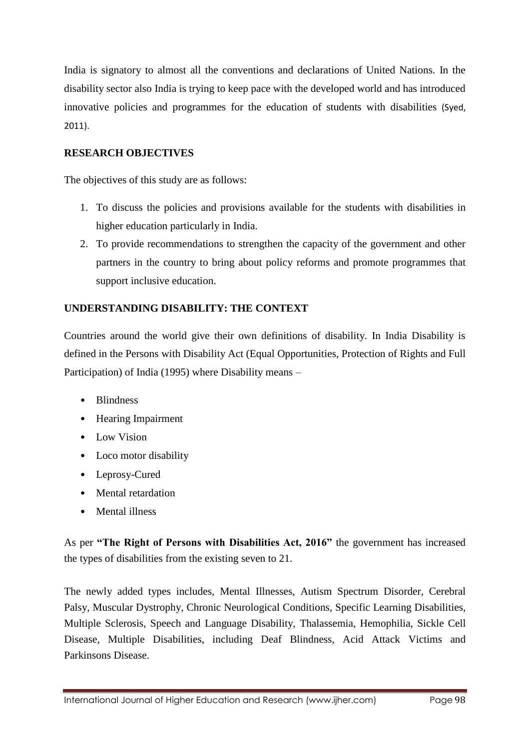India is signatory to almost all the conventions and declarations of United Nations. In the disability sector also India is trying to keep pace with the developed world and has introduced innovative policies and programmes for the education of students with disabilities (Syed, 2011).

#### **RESEARCH OBJECTIVES**

The objectives of this study are as follows:

- 1. To discuss the policies and provisions available for the students with disabilities in higher education particularly in India.
- 2. To provide recommendations to strengthen the capacity of the government and other partners in the country to bring about policy reforms and promote programmes that support inclusive education.

#### **UNDERSTANDING DISABILITY: THE CONTEXT**

Countries around the world give their own definitions of disability. In India Disability is defined in the Persons with Disability Act (Equal Opportunities, Protection of Rights and Full Participation) of India (1995) where Disability means –

- Blindness
- Hearing Impairment
- Low Vision
- Loco motor disability
- Leprosy-Cured
- Mental retardation
- Mental illness

As per **"The Right of Persons with Disabilities Act, 2016"** the government has increased the types of disabilities from the existing seven to 21.

The newly added types includes, Mental Illnesses, Autism Spectrum Disorder, Cerebral Palsy, Muscular Dystrophy, Chronic Neurological Conditions, Specific Learning Disabilities, Multiple Sclerosis, Speech and Language Disability, Thalassemia, Hemophilia, Sickle Cell Disease, Multiple Disabilities, including Deaf Blindness, Acid Attack Victims and Parkinsons Disease.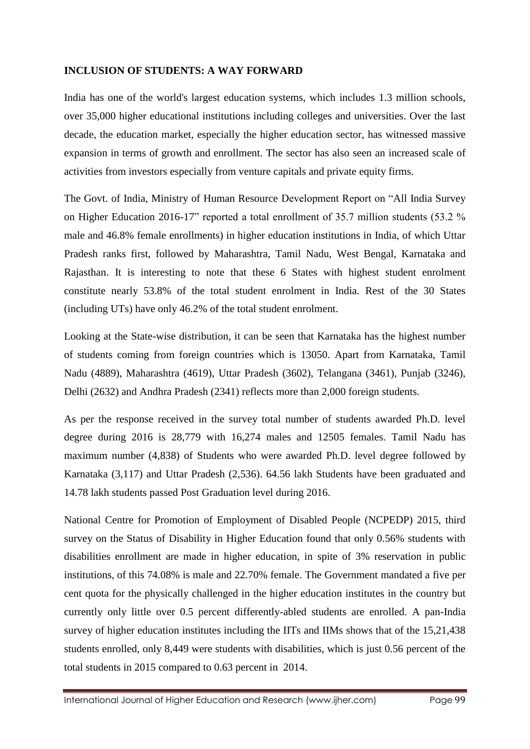#### **INCLUSION OF STUDENTS: A WAY FORWARD**

India has one of the world's largest education systems, which includes 1.3 million schools, over 35,000 higher educational institutions including colleges and universities. Over the last decade, the education market, especially the higher education sector, has witnessed massive expansion in terms of growth and enrollment. The sector has also seen an increased scale of activities from investors especially from venture capitals and private equity firms.

The Govt. of India, Ministry of Human Resource Development Report on "All India Survey on Higher Education 2016-17" reported a total enrollment of 35.7 million students (53.2 % male and 46.8% female enrollments) in higher education institutions in India, of which Uttar Pradesh ranks first, followed by Maharashtra, Tamil Nadu, West Bengal, Karnataka and Rajasthan. It is interesting to note that these 6 States with highest student enrolment constitute nearly 53.8% of the total student enrolment in India. Rest of the 30 States (including UTs) have only 46.2% of the total student enrolment.

Looking at the State-wise distribution, it can be seen that Karnataka has the highest number of students coming from foreign countries which is 13050. Apart from Karnataka, Tamil Nadu (4889), Maharashtra (4619), Uttar Pradesh (3602), Telangana (3461), Punjab (3246), Delhi (2632) and Andhra Pradesh (2341) reflects more than 2,000 foreign students.

As per the response received in the survey total number of students awarded Ph.D. level degree during 2016 is 28,779 with 16,274 males and 12505 females. Tamil Nadu has maximum number (4,838) of Students who were awarded Ph.D. level degree followed by Karnataka (3,117) and Uttar Pradesh (2,536). 64.56 lakh Students have been graduated and 14.78 lakh students passed Post Graduation level during 2016.

National Centre for Promotion of Employment of Disabled People (NCPEDP) 2015, third survey on the Status of Disability in Higher Education found that only 0.56% students with disabilities enrollment are made in higher education, in spite of 3% reservation in public institutions, of this 74.08% is male and 22.70% female. The Government mandated a five per cent quota for the physically challenged in the higher education institutes in the country but currently only little over 0.5 percent differently-abled students are enrolled. A pan-India survey of higher education institutes including the IITs and IIMs shows that of the 15,21,438 students enrolled, only 8,449 were students with disabilities, which is just 0.56 percent of the total students in 2015 compared to 0.63 percent in 2014.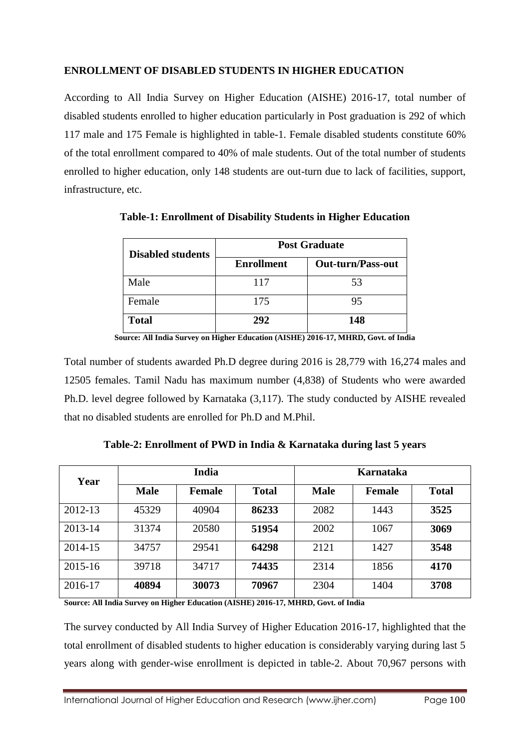#### **ENROLLMENT OF DISABLED STUDENTS IN HIGHER EDUCATION**

According to All India Survey on Higher Education (AISHE) 2016-17, total number of disabled students enrolled to higher education particularly in Post graduation is 292 of which 117 male and 175 Female is highlighted in table-1. Female disabled students constitute 60% of the total enrollment compared to 40% of male students. Out of the total number of students enrolled to higher education, only 148 students are out-turn due to lack of facilities, support, infrastructure, etc.

| <b>Disabled students</b> | <b>Post Graduate</b> |                          |  |  |
|--------------------------|----------------------|--------------------------|--|--|
|                          | <b>Enrollment</b>    | <b>Out-turn/Pass-out</b> |  |  |
| Male                     | 117                  | 53                       |  |  |
| Female                   | 175                  | 95                       |  |  |
| <b>Total</b>             | 292                  | 148                      |  |  |

**Table-1: Enrollment of Disability Students in Higher Education**

**Source: All India Survey on Higher Education (AISHE) 2016-17, MHRD, Govt. of India**

Total number of students awarded Ph.D degree during 2016 is 28,779 with 16,274 males and 12505 females. Tamil Nadu has maximum number (4,838) of Students who were awarded Ph.D. level degree followed by Karnataka (3,117). The study conducted by AISHE revealed that no disabled students are enrolled for Ph.D and M.Phil.

| Year    | India       |               |              | Karnataka   |               |              |
|---------|-------------|---------------|--------------|-------------|---------------|--------------|
|         | <b>Male</b> | <b>Female</b> | <b>Total</b> | <b>Male</b> | <b>Female</b> | <b>Total</b> |
| 2012-13 | 45329       | 40904         | 86233        | 2082        | 1443          | 3525         |
| 2013-14 | 31374       | 20580         | 51954        | 2002        | 1067          | 3069         |
| 2014-15 | 34757       | 29541         | 64298        | 2121        | 1427          | 3548         |
| 2015-16 | 39718       | 34717         | 74435        | 2314        | 1856          | 4170         |
| 2016-17 | 40894       | 30073         | 70967        | 2304        | 1404          | 3708         |

**Table-2: Enrollment of PWD in India & Karnataka during last 5 years**

**Source: All India Survey on Higher Education (AISHE) 2016-17, MHRD, Govt. of India**

The survey conducted by All India Survey of Higher Education 2016-17, highlighted that the total enrollment of disabled students to higher education is considerably varying during last 5 years along with gender-wise enrollment is depicted in table-2. About 70,967 persons with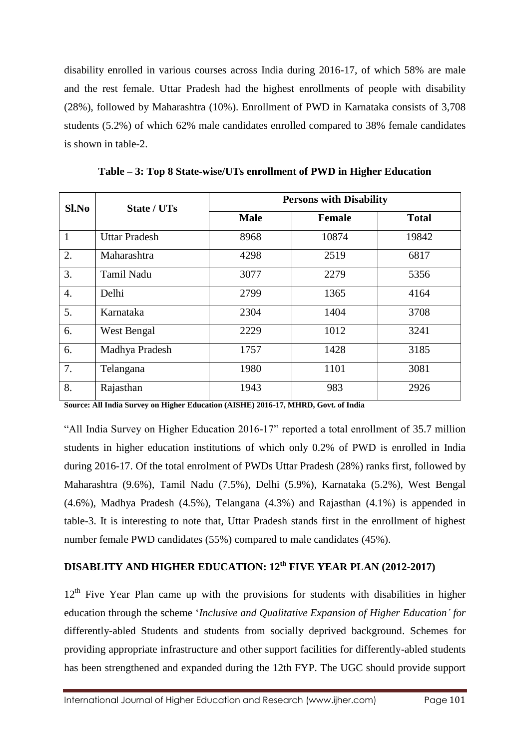disability enrolled in various courses across India during 2016-17, of which 58% are male and the rest female. Uttar Pradesh had the highest enrollments of people with disability (28%), followed by Maharashtra (10%). Enrollment of PWD in Karnataka consists of 3,708 students (5.2%) of which 62% male candidates enrolled compared to 38% female candidates is shown in table-2.

| Sl.No        | State / UTs          | <b>Persons with Disability</b> |               |              |  |  |
|--------------|----------------------|--------------------------------|---------------|--------------|--|--|
|              |                      | <b>Male</b>                    | <b>Female</b> | <b>Total</b> |  |  |
| $\mathbf{1}$ | <b>Uttar Pradesh</b> | 8968                           | 10874         | 19842        |  |  |
| 2.           | Maharashtra          | 4298                           | 2519          | 6817         |  |  |
| 3.           | <b>Tamil Nadu</b>    | 3077                           | 2279          | 5356         |  |  |
| 4.           | Delhi                | 2799                           | 1365          | 4164         |  |  |
| 5.           | Karnataka            | 2304                           | 1404          | 3708         |  |  |
| 6.           | West Bengal          | 2229                           | 1012          | 3241         |  |  |
| 6.           | Madhya Pradesh       | 1757                           | 1428          | 3185         |  |  |
| 7.           | Telangana            | 1980                           | 1101          | 3081         |  |  |
| 8.           | Rajasthan            | 1943                           | 983           | 2926         |  |  |

**Table – 3: Top 8 State-wise/UTs enrollment of PWD in Higher Education**

**Source: All India Survey on Higher Education (AISHE) 2016-17, MHRD, Govt. of India**

"All India Survey on Higher Education 2016-17" reported a total enrollment of 35.7 million students in higher education institutions of which only 0.2% of PWD is enrolled in India during 2016-17. Of the total enrolment of PWDs Uttar Pradesh (28%) ranks first, followed by Maharashtra (9.6%), Tamil Nadu (7.5%), Delhi (5.9%), Karnataka (5.2%), West Bengal (4.6%), Madhya Pradesh (4.5%), Telangana (4.3%) and Rajasthan (4.1%) is appended in table-3. It is interesting to note that, Uttar Pradesh stands first in the enrollment of highest number female PWD candidates (55%) compared to male candidates (45%).

## **DISABLITY AND HIGHER EDUCATION: 12th FIVE YEAR PLAN (2012-2017)**

12<sup>th</sup> Five Year Plan came up with the provisions for students with disabilities in higher education through the scheme '*Inclusive and Qualitative Expansion of Higher Education' for*  differently-abled Students and students from socially deprived background. Schemes for providing appropriate infrastructure and other support facilities for differently-abled students has been strengthened and expanded during the 12th FYP. The UGC should provide support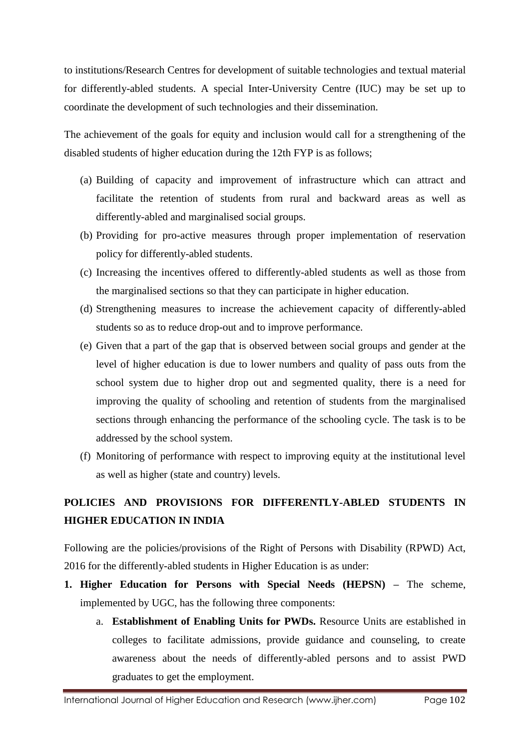to institutions/Research Centres for development of suitable technologies and textual material for differently-abled students. A special Inter-University Centre (IUC) may be set up to coordinate the development of such technologies and their dissemination.

The achievement of the goals for equity and inclusion would call for a strengthening of the disabled students of higher education during the 12th FYP is as follows;

- (a) Building of capacity and improvement of infrastructure which can attract and facilitate the retention of students from rural and backward areas as well as differently-abled and marginalised social groups.
- (b) Providing for pro-active measures through proper implementation of reservation policy for differently-abled students.
- (c) Increasing the incentives offered to differently-abled students as well as those from the marginalised sections so that they can participate in higher education.
- (d) Strengthening measures to increase the achievement capacity of differently-abled students so as to reduce drop-out and to improve performance.
- (e) Given that a part of the gap that is observed between social groups and gender at the level of higher education is due to lower numbers and quality of pass outs from the school system due to higher drop out and segmented quality, there is a need for improving the quality of schooling and retention of students from the marginalised sections through enhancing the performance of the schooling cycle. The task is to be addressed by the school system.
- (f) Monitoring of performance with respect to improving equity at the institutional level as well as higher (state and country) levels.

# **POLICIES AND PROVISIONS FOR DIFFERENTLY-ABLED STUDENTS IN HIGHER EDUCATION IN INDIA**

Following are the policies/provisions of the Right of Persons with Disability (RPWD) Act, 2016 for the differently-abled students in Higher Education is as under:

- **1. Higher Education for Persons with Special Needs (HEPSN) –** The scheme, implemented by UGC, has the following three components:
	- a. **Establishment of Enabling Units for PWDs.** Resource Units are established in colleges to facilitate admissions, provide guidance and counseling, to create awareness about the needs of differently-abled persons and to assist PWD graduates to get the employment.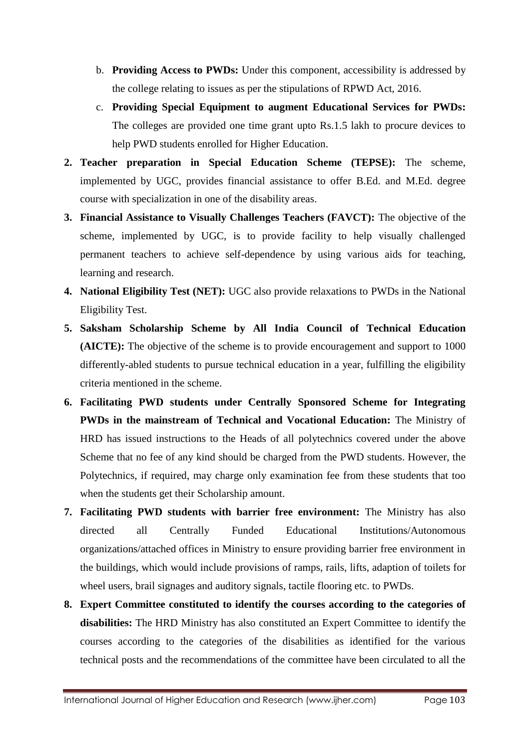- b. **Providing Access to PWDs:** Under this component, accessibility is addressed by the college relating to issues as per the stipulations of RPWD Act, 2016.
- c. **Providing Special Equipment to augment Educational Services for PWDs:**  The colleges are provided one time grant upto Rs.1.5 lakh to procure devices to help PWD students enrolled for Higher Education.
- **2. Teacher preparation in Special Education Scheme (TEPSE):** The scheme, implemented by UGC, provides financial assistance to offer B.Ed. and M.Ed. degree course with specialization in one of the disability areas.
- **3. Financial Assistance to Visually Challenges Teachers (FAVCT):** The objective of the scheme, implemented by UGC, is to provide facility to help visually challenged permanent teachers to achieve self-dependence by using various aids for teaching, learning and research.
- **4. National Eligibility Test (NET):** UGC also provide relaxations to PWDs in the National Eligibility Test.
- **5. Saksham Scholarship Scheme by All India Council of Technical Education (AICTE):** The objective of the scheme is to provide encouragement and support to 1000 differently-abled students to pursue technical education in a year, fulfilling the eligibility criteria mentioned in the scheme.
- **6. Facilitating PWD students under Centrally Sponsored Scheme for Integrating PWDs in the mainstream of Technical and Vocational Education:** The Ministry of HRD has issued instructions to the Heads of all polytechnics covered under the above Scheme that no fee of any kind should be charged from the PWD students. However, the Polytechnics, if required, may charge only examination fee from these students that too when the students get their Scholarship amount.
- **7. Facilitating PWD students with barrier free environment:** The Ministry has also directed all Centrally Funded Educational Institutions/Autonomous organizations/attached offices in Ministry to ensure providing barrier free environment in the buildings, which would include provisions of ramps, rails, lifts, adaption of toilets for wheel users, brail signages and auditory signals, tactile flooring etc. to PWDs.
- **8. Expert Committee constituted to identify the courses according to the categories of disabilities:** The HRD Ministry has also constituted an Expert Committee to identify the courses according to the categories of the disabilities as identified for the various technical posts and the recommendations of the committee have been circulated to all the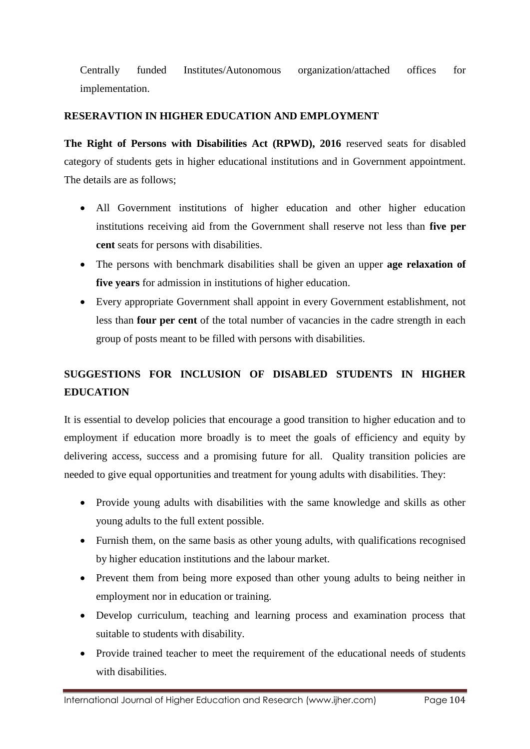Centrally funded Institutes/Autonomous organization/attached offices for implementation.

#### **RESERAVTION IN HIGHER EDUCATION AND EMPLOYMENT**

**The Right of Persons with Disabilities Act (RPWD), 2016** reserved seats for disabled category of students gets in higher educational institutions and in Government appointment. The details are as follows;

- All Government institutions of higher education and other higher education institutions receiving aid from the Government shall reserve not less than **five per cent** seats for persons with disabilities.
- The persons with benchmark disabilities shall be given an upper **age relaxation of five years** for admission in institutions of higher education.
- Every appropriate Government shall appoint in every Government establishment, not less than **four per cent** of the total number of vacancies in the cadre strength in each group of posts meant to be filled with persons with disabilities.

# **SUGGESTIONS FOR INCLUSION OF DISABLED STUDENTS IN HIGHER EDUCATION**

It is essential to develop policies that encourage a good transition to higher education and to employment if education more broadly is to meet the goals of efficiency and equity by delivering access, success and a promising future for all. Quality transition policies are needed to give equal opportunities and treatment for young adults with disabilities. They:

- Provide young adults with disabilities with the same knowledge and skills as other young adults to the full extent possible.
- Furnish them, on the same basis as other young adults, with qualifications recognised by higher education institutions and the labour market.
- Prevent them from being more exposed than other young adults to being neither in employment nor in education or training.
- Develop curriculum, teaching and learning process and examination process that suitable to students with disability.
- Provide trained teacher to meet the requirement of the educational needs of students with disabilities.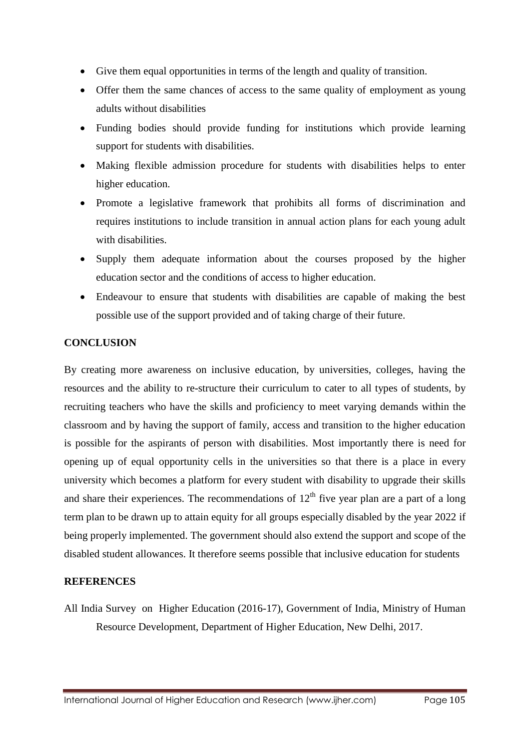- Give them equal opportunities in terms of the length and quality of transition.
- Offer them the same chances of access to the same quality of employment as young adults without disabilities
- Funding bodies should provide funding for institutions which provide learning support for students with disabilities.
- Making flexible admission procedure for students with disabilities helps to enter higher education.
- Promote a legislative framework that prohibits all forms of discrimination and requires institutions to include transition in annual action plans for each young adult with disabilities.
- Supply them adequate information about the courses proposed by the higher education sector and the conditions of access to higher education.
- Endeavour to ensure that students with disabilities are capable of making the best possible use of the support provided and of taking charge of their future.

#### **CONCLUSION**

By creating more awareness on inclusive education, by universities, colleges, having the resources and the ability to re-structure their curriculum to cater to all types of students, by recruiting teachers who have the skills and proficiency to meet varying demands within the classroom and by having the support of family, access and transition to the higher education is possible for the aspirants of person with disabilities. Most importantly there is need for opening up of equal opportunity cells in the universities so that there is a place in every university which becomes a platform for every student with disability to upgrade their skills and share their experiences. The recommendations of  $12<sup>th</sup>$  five year plan are a part of a long term plan to be drawn up to attain equity for all groups especially disabled by the year 2022 if being properly implemented. The government should also extend the support and scope of the disabled student allowances. It therefore seems possible that inclusive education for students

#### **REFERENCES**

All India Survey on Higher Education (2016-17), Government of India, Ministry of Human Resource Development, Department of Higher Education, New Delhi, 2017.